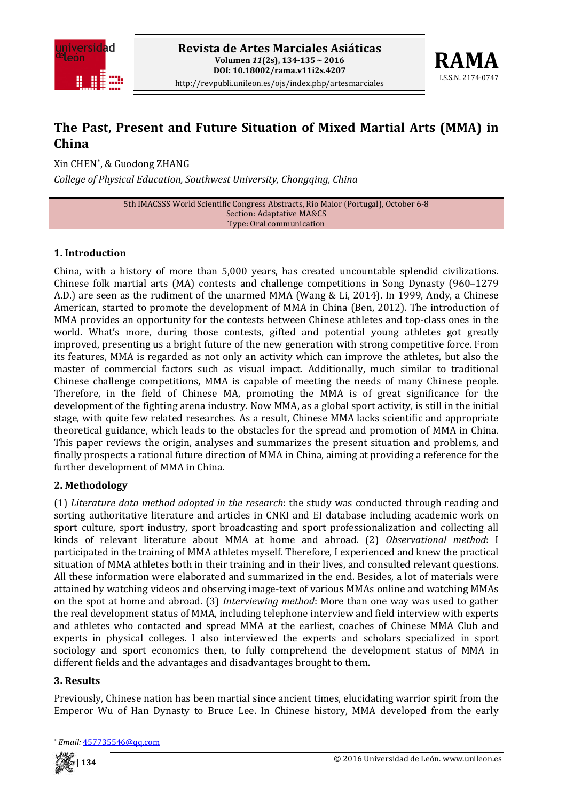



# **The Past, Present and Future Situation of Mixed Martial Arts (MMA) in China**

Xin CHEN\*, & Guodong ZHANG *College of Physical Education, Southwest University, Chongqing, China*

> 5th IMACSSS World Scientific Congress Abstracts, Rio Maior (Portugal), October 6‐8 Section: Adaptative MA&CS Type: Oral communication

### **1. Introduction**

China, with a history of more than 5,000 years, has created uncountable splendid civilizations. Chinese folk martial arts (MA) contests and challenge competitions in Song Dynasty (960–1279 A.D.) are seen as the rudiment of the unarmed MMA (Wang & Li, 2014). In 1999, Andy, a Chinese American, started to promote the development of MMA in China (Ben, 2012). The introduction of MMA provides an opportunity for the contests between Chinese athletes and top‐class ones in the world. What's more, during those contests, gifted and potential young athletes got greatly improved, presenting us a bright future of the new generation with strong competitive force. From its features, MMA is regarded as not only an activity which can improve the athletes, but also the master of commercial factors such as visual impact. Additionally, much similar to traditional Chinese challenge competitions, MMA is capable of meeting the needs of many Chinese people. Therefore, in the field of Chinese MA, promoting the MMA is of great significance for the development of the fighting arena industry. Now MMA, as a global sport activity, is still in the initial stage, with quite few related researches. As a result, Chinese MMA lacks scientific and appropriate theoretical guidance, which leads to the obstacles for the spread and promotion of MMA in China. This paper reviews the origin, analyses and summarizes the present situation and problems, and finally prospects a rational future direction of MMA in China, aiming at providing a reference for the further development of MMA in China.

#### **2. Methodology**

(1) *Literature data method adopted in the research*: the study was conducted through reading and sorting authoritative literature and articles in CNKI and EI database including academic work on sport culture, sport industry, sport broadcasting and sport professionalization and collecting all kinds of relevant literature about MMA at home and abroad. (2) *Observational method*: I participated in the training of MMA athletes myself. Therefore, I experienced and knew the practical situation of MMA athletes both in their training and in their lives, and consulted relevant questions. All these information were elaborated and summarized in the end. Besides, a lot of materials were attained by watching videos and observing image‐text of various MMAs online and watching MMAs on the spot at home and abroad. (3) *Interviewing method*: More than one way was used to gather the real development status of MMA, including telephone interview and field interview with experts and athletes who contacted and spread MMA at the earliest, coaches of Chinese MMA Club and experts in physical colleges. I also interviewed the experts and scholars specialized in sport sociology and sport economics then, to fully comprehend the development status of MMA in different fields and the advantages and disadvantages brought to them.

#### **3. Results**

Previously, Chinese nation has been martial since ancient times, elucidating warrior spirit from the Emperor Wu of Han Dynasty to Bruce Lee. In Chinese history, MMA developed from the early



<sup>\*</sup> *Email:* 457735546@qq.com